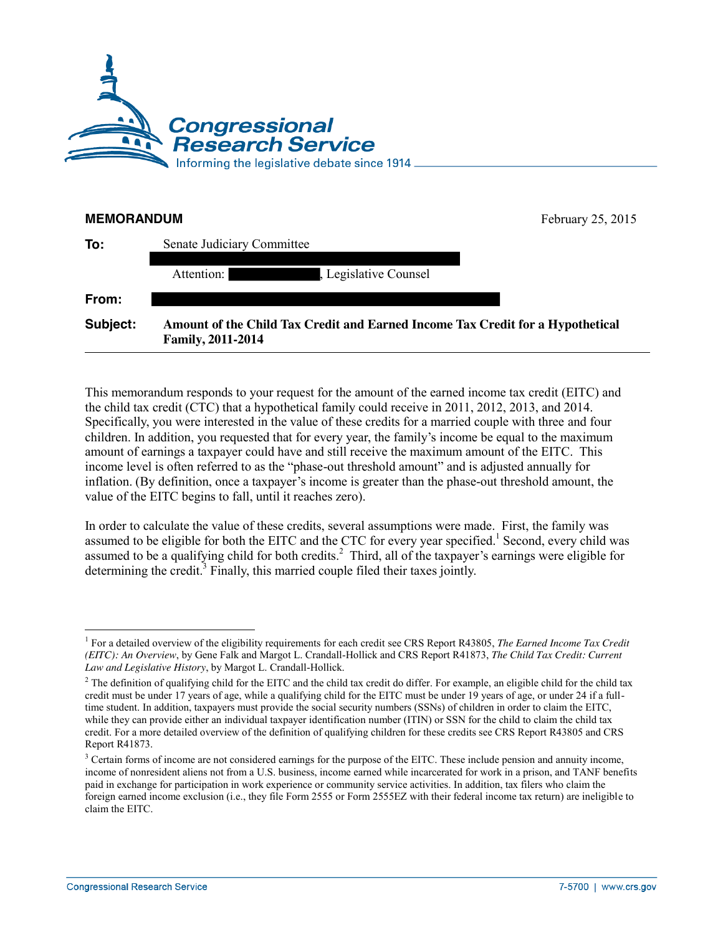

| <b>MEMORANDUM</b> |                                                                                                            | February 25, 2015 |  |  |  |  |
|-------------------|------------------------------------------------------------------------------------------------------------|-------------------|--|--|--|--|
| To:               | Senate Judiciary Committee                                                                                 |                   |  |  |  |  |
|                   | Attention:<br>Legislative Counsel                                                                          |                   |  |  |  |  |
| From:             |                                                                                                            |                   |  |  |  |  |
| Subject:          | Amount of the Child Tax Credit and Earned Income Tax Credit for a Hypothetical<br><b>Family, 2011-2014</b> |                   |  |  |  |  |

This memorandum responds to your request for the amount of the earned income tax credit (EITC) and the child tax credit (CTC) that a hypothetical family could receive in 2011, 2012, 2013, and 2014. Specifically, you were interested in the value of these credits for a married couple with three and four children. In addition, you requested that for every year, the family's income be equal to the maximum amount of earnings a taxpayer could have and still receive the maximum amount of the EITC. This income level is often referred to as the "phase-out threshold amount" and is adjusted annually for inflation. (By definition, once a taxpayer's income is greater than the phase-out threshold amount, the value of the EITC begins to fall, until it reaches zero).

In order to calculate the value of these credits, several assumptions were made. First, the family was assumed to be eligible for both the EITC and the CTC for every year specified.<sup>1</sup> Second, every child was assumed to be a qualifying child for both credits.<sup>2</sup> Third, all of the taxpayer's earnings were eligible for determining the credit.<sup>3</sup> Finally, this married couple filed their taxes jointly.

 $\overline{a}$ <sup>1</sup> For a detailed overview of the eligibility requirements for each credit see CRS Report R43805, *The Earned Income Tax Credit (EITC): An Overview*, by Gene Falk and Margot L. Crandall-Hollick and CRS Report R41873, *The Child Tax Credit: Current Law and Legislative History*, by Margot L. Crandall-Hollick.

<sup>&</sup>lt;sup>2</sup> The definition of qualifying child for the EITC and the child tax credit do differ. For example, an eligible child for the child tax credit must be under 17 years of age, while a qualifying child for the EITC must be under 19 years of age, or under 24 if a fulltime student. In addition, taxpayers must provide the social security numbers (SSNs) of children in order to claim the EITC, while they can provide either an individual taxpayer identification number (ITIN) or SSN for the child to claim the child tax credit. For a more detailed overview of the definition of qualifying children for these credits see CRS Report R43805 and CRS Report R41873.

<sup>&</sup>lt;sup>3</sup> Certain forms of income are not considered earnings for the purpose of the EITC. These include pension and annuity income, income of nonresident aliens not from a U.S. business, income earned while incarcerated for work in a prison, and TANF benefits paid in exchange for participation in work experience or community service activities. In addition, tax filers who claim the foreign earned income exclusion (i.e., they file Form 2555 or Form 2555EZ with their federal income tax return) are ineligible to claim the EITC.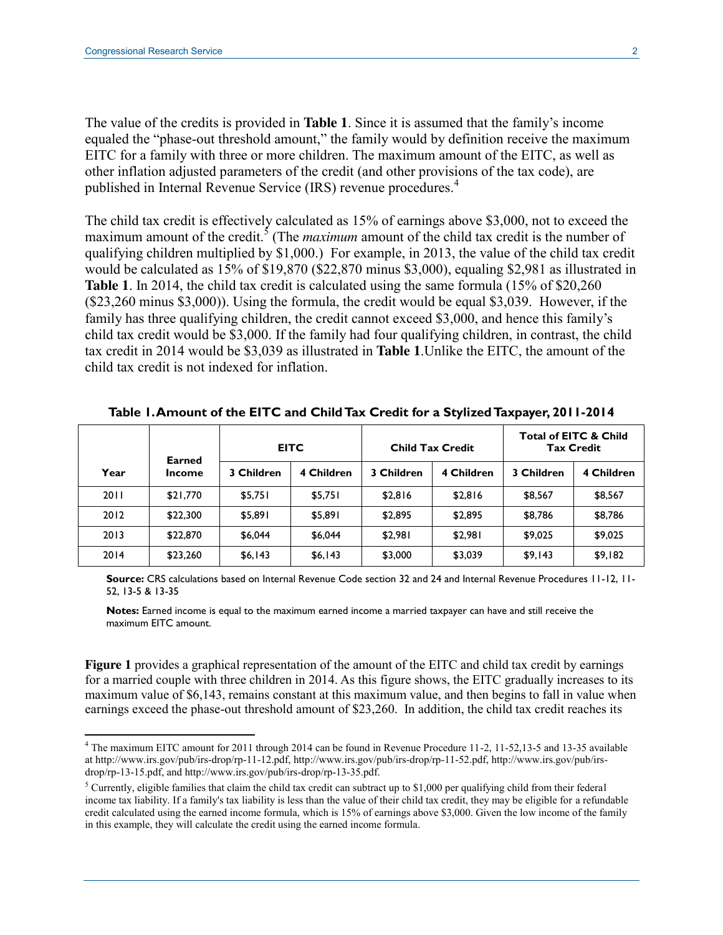The value of the credits is provided in **[Table 1](#page-1-0)**. Since it is assumed that the family's income equaled the "phase-out threshold amount," the family would by definition receive the maximum EITC for a family with three or more children. The maximum amount of the EITC, as well as other inflation adjusted parameters of the credit (and other provisions of the tax code), are published in Internal Revenue Service (IRS) revenue procedures.<sup>4</sup>

The child tax credit is effectively calculated as 15% of earnings above \$3,000, not to exceed the maximum amount of the credit.<sup>5</sup> (The *maximum* amount of the child tax credit is the number of qualifying children multiplied by \$1,000.) For example, in 2013, the value of the child tax credit would be calculated as 15% of \$19,870 (\$22,870 minus \$3,000), equaling \$2,981 as illustrated in **[Table 1](#page-1-0)**. In 2014, the child tax credit is calculated using the same formula (15% of \$20,260 (\$23,260 minus \$3,000)). Using the formula, the credit would be equal \$3,039. However, if the family has three qualifying children, the credit cannot exceed \$3,000, and hence this family's child tax credit would be \$3,000. If the family had four qualifying children, in contrast, the child tax credit in 2014 would be \$3,039 as illustrated in **[Table 1](#page-1-0)**.Unlike the EITC, the amount of the child tax credit is not indexed for inflation.

|      | Earned   | <b>EITC</b> |            | <b>Child Tax Credit</b> |            | <b>Total of EITC &amp; Child</b><br><b>Tax Credit</b> |            |
|------|----------|-------------|------------|-------------------------|------------|-------------------------------------------------------|------------|
| Year | Income   | 3 Children  | 4 Children | 3 Children              | 4 Children | 3 Children                                            | 4 Children |
| 2011 | \$21,770 | \$5,751     | \$5,751    | \$2,816                 | \$2,816    | \$8,567                                               | \$8,567    |
| 2012 | \$22,300 | \$5,891     | \$5,891    | \$2,895                 | \$2,895    | \$8,786                                               | \$8,786    |
| 2013 | \$22,870 | \$6,044     | \$6,044    | \$2,981                 | \$2,981    | \$9,025                                               | \$9,025    |
| 2014 | \$23,260 | \$6,143     | \$6,143    | \$3,000                 | \$3,039    | \$9,143                                               | \$9,182    |

<span id="page-1-0"></span>**Table 1. Amount of the EITC and Child Tax Credit for a Stylized Taxpayer, 2011-2014**

**Source:** CRS calculations based on Internal Revenue Code section 32 and 24 and Internal Revenue Procedures 11-12, 11- 52, 13-5 & 13-35

**Notes:** Earned income is equal to the maximum earned income a married taxpayer can have and still receive the maximum EITC amount.

**[Figure 1](#page-2-0)** provides a graphical representation of the amount of the EITC and child tax credit by earnings for a married couple with three children in 2014. As this figure shows, the EITC gradually increases to its maximum value of \$6,143, remains constant at this maximum value, and then begins to fall in value when earnings exceed the phase-out threshold amount of \$23,260. In addition, the child tax credit reaches its

<sup>&</sup>lt;sup>4</sup> The maximum EITC amount for 2011 through 2014 can be found in Revenue Procedure 11-2, 11-52,13-5 and 13-35 available at http://www.irs.gov/pub/irs-drop/rp-11-12.pdf, http://www.irs.gov/pub/irs-drop/rp-11-52.pdf, http://www.irs.gov/pub/irsdrop/rp-13-15.pdf, and http://www.irs.gov/pub/irs-drop/rp-13-35.pdf.

<sup>&</sup>lt;sup>5</sup> Currently, eligible families that claim the child tax credit can subtract up to \$1,000 per qualifying child from their federal income tax liability. If a family's tax liability is less than the value of their child tax credit, they may be eligible for a refundable credit calculated using the earned income formula, which is 15% of earnings above \$3,000. Given the low income of the family in this example, they will calculate the credit using the earned income formula.